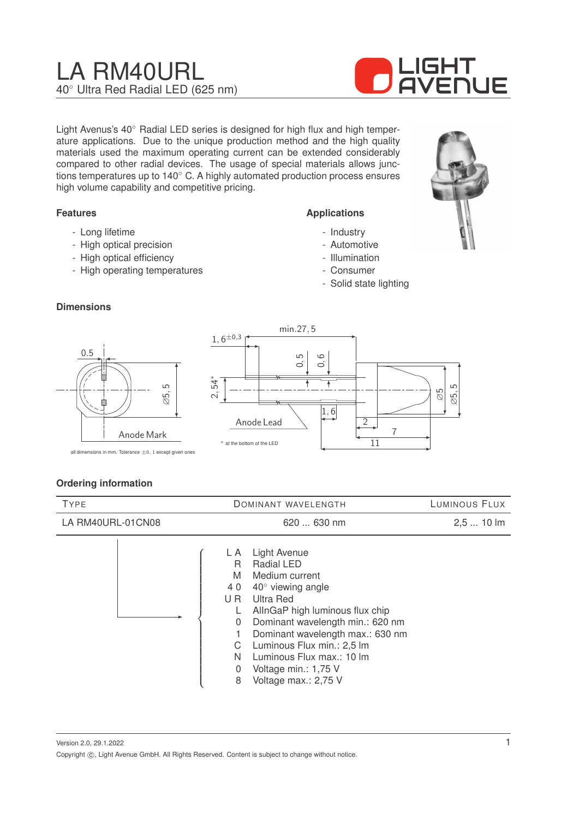# LA RM40URL 40◦ Ultra Red Radial LED (625 nm)



Light Avenus's 40◦ Radial LED series is designed for high flux and high temperature applications. Due to the unique production method and the high quality materials used the maximum operating current can be extended considerably compared to other radial devices. The usage of special materials allows junctions temperatures up to 140◦ C. A highly automated production process ensures high volume capability and competitive pricing.

## **Features**

- Long lifetime
- High optical precision
- High optical efficiency
- High operating temperatures

#### **Applications**

- Industry
- Automotive
- Illumination
- Consumer
- Solid state lighting

## **Dimensions**





all dimensions in mm. Tolerance  $\pm 0$ , 1 except given ones

# **Ordering information**

| <b>TYPE</b>       | DOMINANT WAVELENGTH                                                                                                                                                                                                                                                                                                                                                       | LUMINOUS FLUX |
|-------------------|---------------------------------------------------------------------------------------------------------------------------------------------------------------------------------------------------------------------------------------------------------------------------------------------------------------------------------------------------------------------------|---------------|
| LA RM40URL-01CN08 | 620  630 nm                                                                                                                                                                                                                                                                                                                                                               | $2,510$ lm    |
|                   | <b>Light Avenue</b><br>L A<br>Radial LED<br>R<br>M<br>Medium current<br>$40^\circ$ viewing angle<br>40<br>Ultra Red<br>U R<br>AllnGaP high luminous flux chip<br>Dominant wavelength min.: 620 nm<br>0<br>Dominant wavelength max.: 630 nm<br>Luminous Flux min.: 2,5 lm<br>C<br>Luminous Flux max.: 10 lm<br>N<br>Voltage min.: 1,75 V<br>0<br>Voltage max.: 2,75 V<br>8 |               |

Version 2.0, 29.1.2022 Copyright  $\circled{c}$ , Light Avenue GmbH. All Rights Reserved. Content is subject to change without notice.

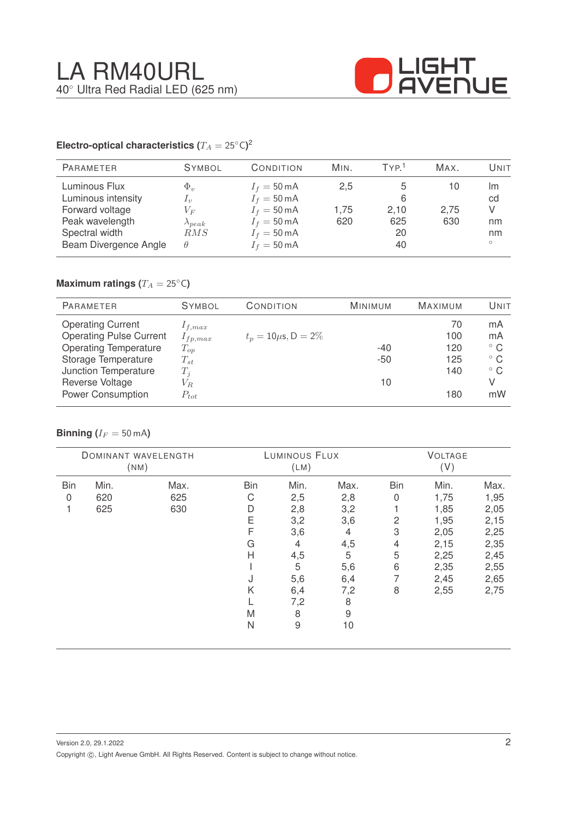

## **Electro-optical characteristics (T\_A = 25^{\circ} \text{C}</math>)<sup>2</sup>**

| <b>PARAMETER</b>                                                                                                     | <b>SYMBOL</b>                                                                                                                                                                                                                                                                                                                                                                                                                                                                                              | CONDITION                                                                                                                                          | MIN.               | TYP <sup>1</sup>             | MAX.              | Unit                                 |
|----------------------------------------------------------------------------------------------------------------------|------------------------------------------------------------------------------------------------------------------------------------------------------------------------------------------------------------------------------------------------------------------------------------------------------------------------------------------------------------------------------------------------------------------------------------------------------------------------------------------------------------|----------------------------------------------------------------------------------------------------------------------------------------------------|--------------------|------------------------------|-------------------|--------------------------------------|
| Luminous Flux<br>Luminous intensity<br>Forward voltage<br>Peak wavelength<br>Spectral width<br>Beam Divergence Angle | $\Phi_v$<br>$I_{\eta}$<br>$V_{F}% ^{p^{\prime }},\qquad V_{F}^{p^{\prime }},\qquad V_{F}^{p^{\prime }},\qquad V_{F}^{p^{\prime }},\qquad V_{F}^{p^{\prime }},\qquad V_{F}^{p^{\prime }},\qquad V_{F}^{p^{\prime }},\qquad V_{F}^{p^{\prime }},\qquad V_{F}^{p^{\prime }},\qquad V_{F}^{p^{\prime }},\qquad V_{F}^{p^{\prime }},\qquad V_{F}^{p^{\prime }},\qquad V_{F}^{p^{\prime }},\qquad V_{F}^{p^{\prime }},\qquad V_{F}^{p^{\prime }},\qquad V_{F}^{p^{\prime$<br>$\lambda_{peak}$<br>RMS<br>$\theta$ | $I_f = 50 \text{ mA}$<br>$I_f = 50 \text{ mA}$<br>$I_f = 50 \text{ mA}$<br>$I_f = 50 \text{ mA}$<br>$I_f = 50 \text{ mA}$<br>$I_f = 50 \text{ mA}$ | 2,5<br>1.75<br>620 | 6<br>2,10<br>625<br>20<br>40 | 10<br>2,75<br>630 | Im<br>cd<br>V<br>nm<br>nm<br>$\circ$ |

# **Maximum ratings (** $T_A = 25$ °C)

| <b>PARAMETER</b>               | <b>SYMBOL</b> | CONDITION                 | <b>MINIMUM</b> | <b>MAXIMUM</b> | Unit         |
|--------------------------------|---------------|---------------------------|----------------|----------------|--------------|
| <b>Operating Current</b>       | $1_{f,max}$   |                           |                | 70             | mA           |
| <b>Operating Pulse Current</b> | $I_{fp,max}$  | $t_p = 10 \mu s$ , D = 2% |                | 100            | mA           |
| <b>Operating Temperature</b>   | $T_{op}$      |                           | $-40$          | 120            | $^{\circ}$ C |
| Storage Temperature            | $T_{st}$      |                           | $-50$          | 125            | $^{\circ}$ C |
| Junction Temperature           | $T_i$         |                           |                | 140            | $^{\circ}$ C |
| Reverse Voltage                | $V_{R}$       |                           | 10             |                | V            |
| <b>Power Consumption</b>       | $P_{tot}$     |                           |                | 180            | mW           |

## **Binning** ( $I_F = 50$  mA)

|            |      | DOMINANT WAVELENGTH<br>(NM) |            | LUMINOUS FLUX<br>(LM) |      |            | <b>VOLTAGE</b><br>(V) |      |
|------------|------|-----------------------------|------------|-----------------------|------|------------|-----------------------|------|
| <b>Bin</b> | Min. | Max.                        | <b>Bin</b> | Min.                  | Max. | <b>Bin</b> | Min.                  | Max. |
| 0          | 620  | 625                         | С          | 2,5                   | 2,8  | 0          | 1,75                  | 1,95 |
|            | 625  | 630                         | D          | 2,8                   | 3,2  |            | 1,85                  | 2,05 |
|            |      |                             | Ε          | 3,2                   | 3,6  | 2          | 1,95                  | 2,15 |
|            |      |                             | F          | 3,6                   | 4    | 3          | 2,05                  | 2,25 |
|            |      |                             | G          | $\overline{4}$        | 4,5  | 4          | 2,15                  | 2,35 |
|            |      |                             | Н          | 4,5                   | 5    | 5          | 2,25                  | 2,45 |
|            |      |                             |            | 5                     | 5,6  | 6          | 2,35                  | 2,55 |
|            |      |                             | J          | 5,6                   | 6,4  | 7          | 2,45                  | 2,65 |
|            |      |                             | Κ          | 6,4                   | 7,2  | 8          | 2,55                  | 2,75 |
|            |      |                             |            | 7,2                   | 8    |            |                       |      |
|            |      |                             | M          | 8                     | 9    |            |                       |      |
|            |      |                             | N          | $\hbox{9}$            | 10   |            |                       |      |
|            |      |                             |            |                       |      |            |                       |      |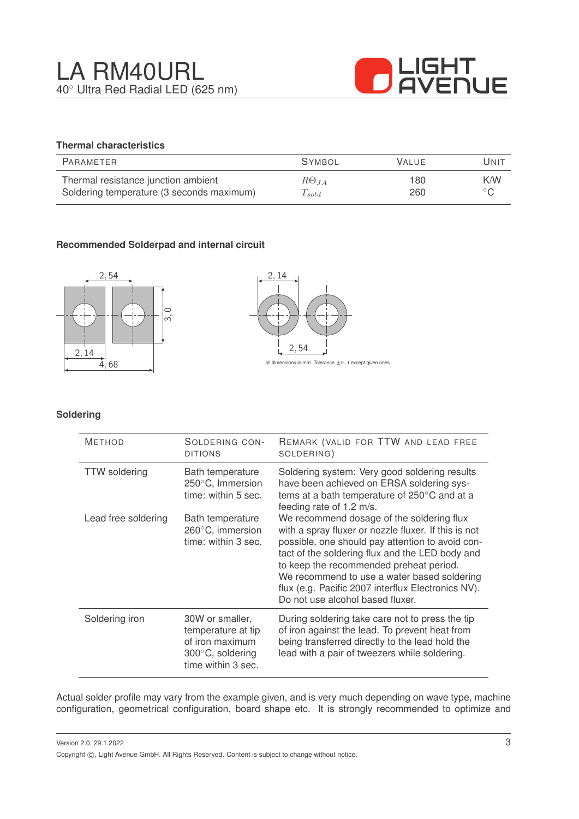

# **Thermal characteristics**

| PARAMETER                                 | <b>SYMBOL</b>        | <b>VALUE</b> | UNIT           |
|-------------------------------------------|----------------------|--------------|----------------|
| Thermal resistance junction ambient       | $R\Theta_{JA}$       | 180          | K/W            |
| Soldering temperature (3 seconds maximum) | $\mathcal{L}_{sold}$ | 260          | $\circ$ $\cap$ |

# **Recommended Solderpad and internal circuit**





#### **Soldering**

| <b>METHOD</b>        | SOLDERING CON-<br><b>DITIONS</b>                                                                             | REMARK (VALID FOR TTW AND LEAD FREE<br>SOLDERING)                                                                                                                                                                                                                                                                                                                                            |
|----------------------|--------------------------------------------------------------------------------------------------------------|----------------------------------------------------------------------------------------------------------------------------------------------------------------------------------------------------------------------------------------------------------------------------------------------------------------------------------------------------------------------------------------------|
| <b>TTW</b> soldering | Bath temperature<br>250°C, Immersion<br>time: within 5 sec.                                                  | Soldering system: Very good soldering results<br>have been achieved on ERSA soldering sys-<br>tems at a bath temperature of 250°C and at a<br>feeding rate of 1.2 m/s.                                                                                                                                                                                                                       |
| Lead free soldering  | Bath temperature<br>260°C, immersion<br>time: within 3 sec.                                                  | We recommend dosage of the soldering flux<br>with a spray fluxer or nozzle fluxer. If this is not<br>possible, one should pay attention to avoid con-<br>tact of the soldering flux and the LED body and<br>to keep the recommended preheat period.<br>We recommend to use a water based soldering<br>flux (e.g. Pacific 2007 interflux Electronics NV).<br>Do not use alcohol based fluxer. |
| Soldering iron       | 30W or smaller,<br>temperature at tip<br>of iron maximum<br>$300^{\circ}$ C, soldering<br>time within 3 sec. | During soldering take care not to press the tip<br>of iron against the lead. To prevent heat from<br>being transferred directly to the lead hold the<br>lead with a pair of tweezers while soldering.                                                                                                                                                                                        |

Actual solder profile may vary from the example given, and is very much depending on wave type, machine configuration, geometrical configuration, board shape etc. It is strongly recommended to optimize and

Version 2.0, 29.1.2022 Copyright ©, Light Avenue GmbH. All Rights Reserved. Content is subject to change without notice.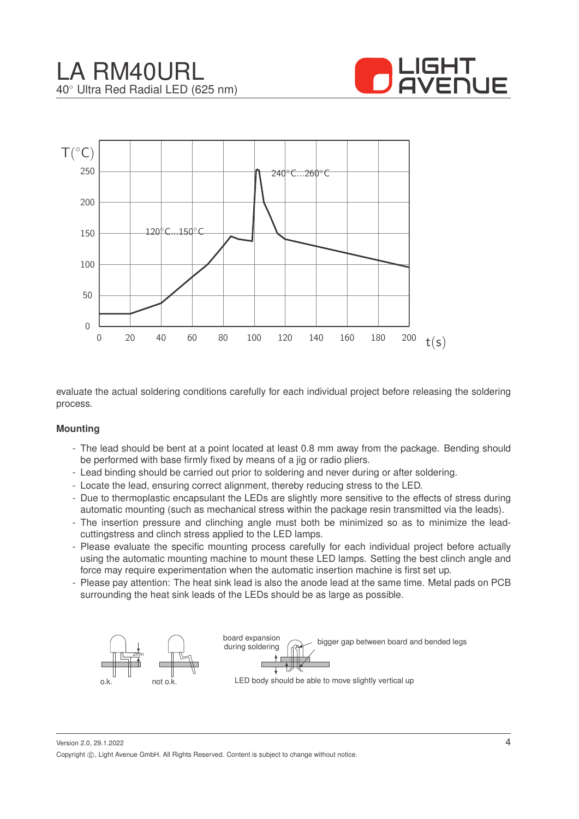





evaluate the actual soldering conditions carefully for each individual project before releasing the soldering process.

#### **Mounting**

- The lead should be bent at a point located at least 0.8 mm away from the package. Bending should be performed with base firmly fixed by means of a jig or radio pliers.
- Lead binding should be carried out prior to soldering and never during or after soldering.
- Locate the lead, ensuring correct alignment, thereby reducing stress to the LED.
- Due to thermoplastic encapsulant the LEDs are slightly more sensitive to the effects of stress during automatic mounting (such as mechanical stress within the package resin transmitted via the leads).
- The insertion pressure and clinching angle must both be minimized so as to minimize the leadcuttingstress and clinch stress applied to the LED lamps.
- Please evaluate the specific mounting process carefully for each individual project before actually using the automatic mounting machine to mount these LED lamps. Setting the best clinch angle and force may require experimentation when the automatic insertion machine is first set up.
- Please pay attention: The heat sink lead is also the anode lead at the same time. Metal pads on PCB surrounding the heat sink leads of the LEDs should be as large as possible.



Version 2.0, 29.1.2022 Copyright ©, Light Avenue GmbH. All Rights Reserved. Content is subject to change without notice.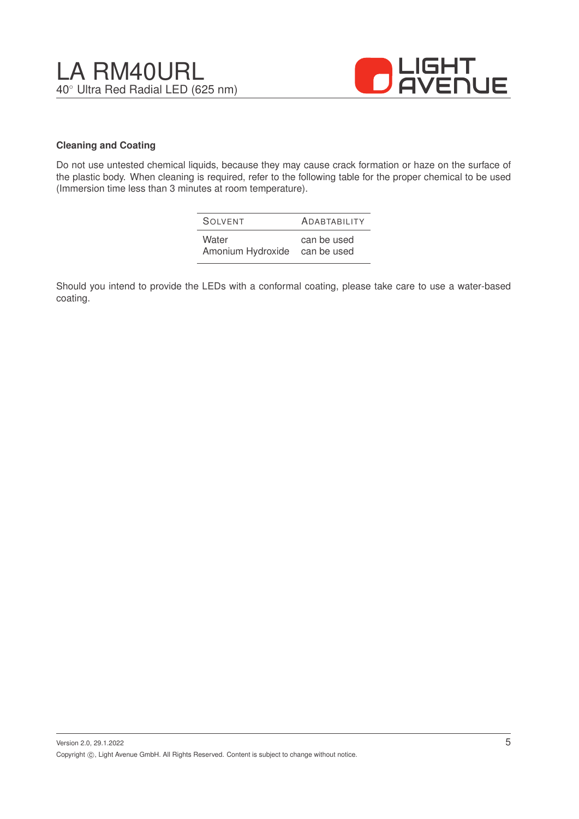



#### **Cleaning and Coating**

Do not use untested chemical liquids, because they may cause crack formation or haze on the surface of the plastic body. When cleaning is required, refer to the following table for the proper chemical to be used (Immersion time less than 3 minutes at room temperature).

| SOIVENT           | <b>ADABTABILITY</b> |
|-------------------|---------------------|
| Water             | can be used         |
| Amonium Hydroxide | can be used         |

Should you intend to provide the LEDs with a conformal coating, please take care to use a water-based coating.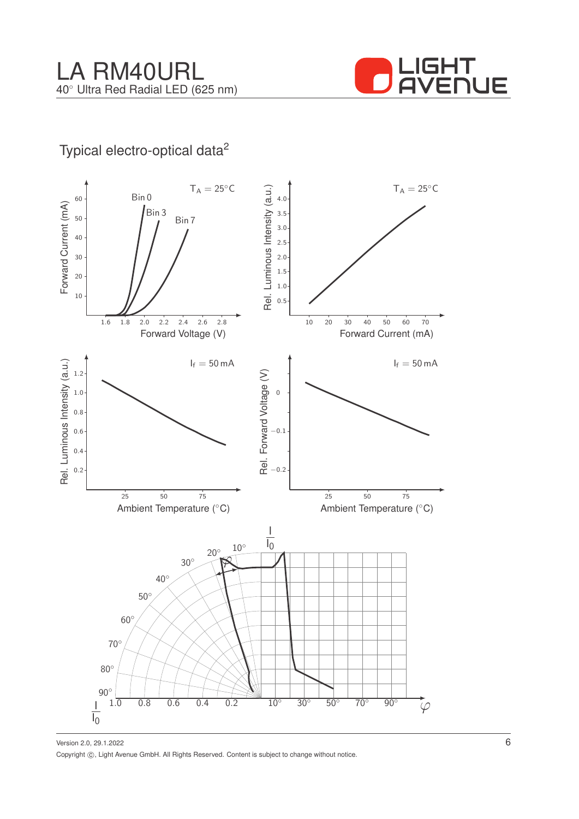

# Typical electro-optical data<sup>2</sup>



Version 2.0, 29.1.2022 Copyright ©, Light Avenue GmbH. All Rights Reserved. Content is subject to change without notice.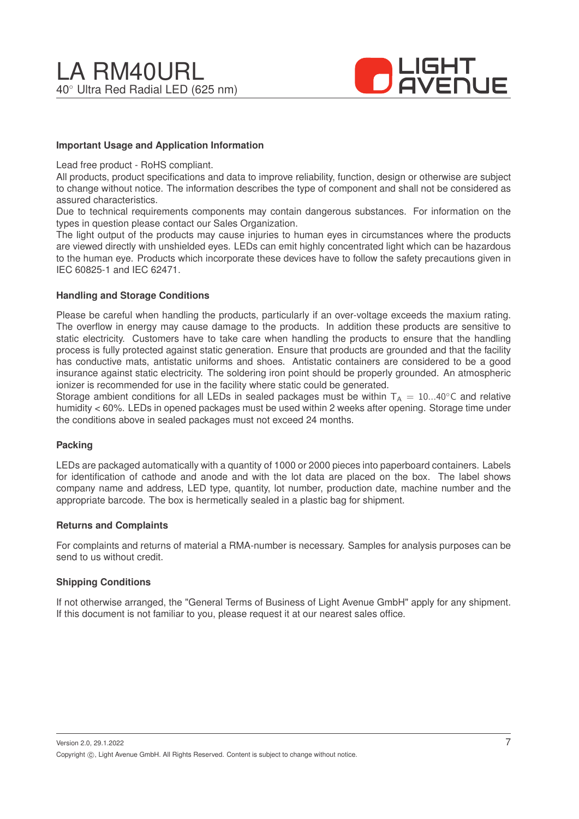![](_page_6_Picture_1.jpeg)

#### **Important Usage and Application Information**

Lead free product - RoHS compliant.

All products, product specifications and data to improve reliability, function, design or otherwise are subject to change without notice. The information describes the type of component and shall not be considered as assured characteristics.

Due to technical requirements components may contain dangerous substances. For information on the types in question please contact our Sales Organization.

The light output of the products may cause injuries to human eyes in circumstances where the products are viewed directly with unshielded eyes. LEDs can emit highly concentrated light which can be hazardous to the human eye. Products which incorporate these devices have to follow the safety precautions given in IEC 60825-1 and IEC 62471.

#### **Handling and Storage Conditions**

Please be careful when handling the products, particularly if an over-voltage exceeds the maxium rating. The overflow in energy may cause damage to the products. In addition these products are sensitive to static electricity. Customers have to take care when handling the products to ensure that the handling process is fully protected against static generation. Ensure that products are grounded and that the facility has conductive mats, antistatic uniforms and shoes. Antistatic containers are considered to be a good insurance against static electricity. The soldering iron point should be properly grounded. An atmospheric ionizer is recommended for use in the facility where static could be generated.

Storage ambient conditions for all LEDs in sealed packages must be within  $T_A = 10...40^\circ$ C and relative humidity < 60%. LEDs in opened packages must be used within 2 weeks after opening. Storage time under the conditions above in sealed packages must not exceed 24 months.

#### **Packing**

LEDs are packaged automatically with a quantity of 1000 or 2000 pieces into paperboard containers. Labels for identification of cathode and anode and with the lot data are placed on the box. The label shows company name and address, LED type, quantity, lot number, production date, machine number and the appropriate barcode. The box is hermetically sealed in a plastic bag for shipment.

#### **Returns and Complaints**

For complaints and returns of material a RMA-number is necessary. Samples for analysis purposes can be send to us without credit.

#### **Shipping Conditions**

If not otherwise arranged, the "General Terms of Business of Light Avenue GmbH" apply for any shipment. If this document is not familiar to you, please request it at our nearest sales office.